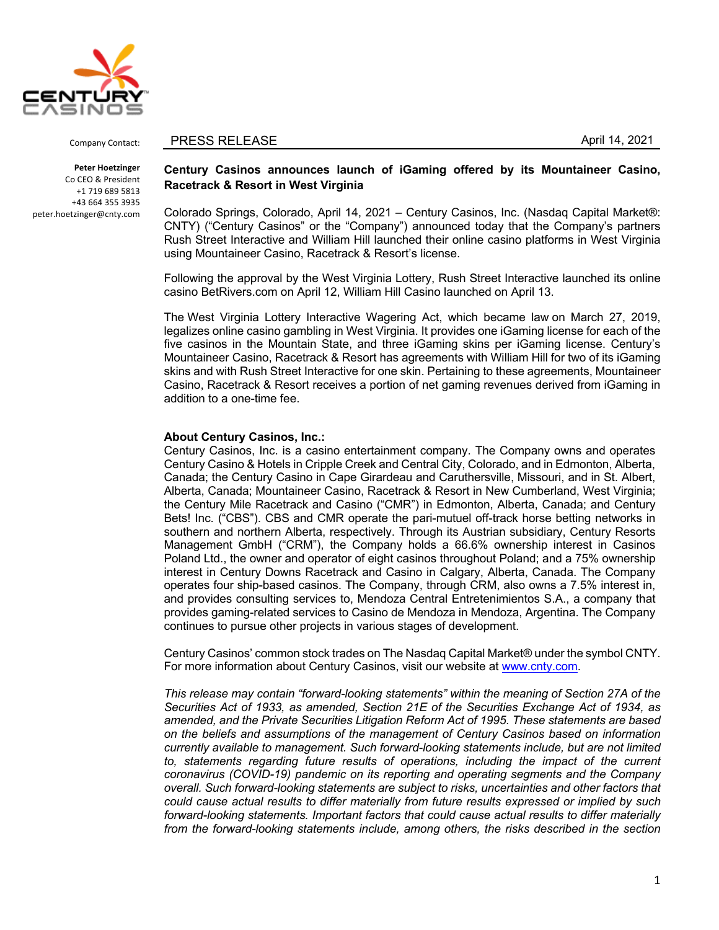

Company Contact:

**Peter Hoetzinger** Co CEO & President +1 719 689 5813 +43 664 355 3935 peter.hoetzinger@cnty.com

## PRESS RELEASE April 14, 2021

## **Century Casinos announces launch of iGaming offered by its Mountaineer Casino, Racetrack & Resort in West Virginia**

Colorado Springs, Colorado, April 14, 2021 – Century Casinos, Inc. (Nasdaq Capital Market®: CNTY) ("Century Casinos" or the "Company") announced today that the Company's partners Rush Street Interactive and William Hill launched their online casino platforms in West Virginia using Mountaineer Casino, Racetrack & Resort's license.

Following the approval by the West Virginia Lottery, Rush Street Interactive launched its online casino BetRivers.com on April 12, William Hill Casino launched on April 13.

The West Virginia Lottery Interactive Wagering Act, which became law on March 27, 2019, legalizes online casino gambling in West Virginia. It provides one iGaming license for each of the five casinos in the Mountain State, and three iGaming skins per iGaming license. Century's Mountaineer Casino, Racetrack & Resort has agreements with William Hill for two of its iGaming skins and with Rush Street Interactive for one skin. Pertaining to these agreements, Mountaineer Casino, Racetrack & Resort receives a portion of net gaming revenues derived from iGaming in addition to a one-time fee.

## **About Century Casinos, Inc.:**

Century Casinos, Inc. is a casino entertainment company. The Company owns and operates Century Casino & Hotels in Cripple Creek and Central City, Colorado, and in Edmonton, Alberta, Canada; the Century Casino in Cape Girardeau and Caruthersville, Missouri, and in St. Albert, Alberta, Canada; Mountaineer Casino, Racetrack & Resort in New Cumberland, West Virginia; the Century Mile Racetrack and Casino ("CMR") in Edmonton, Alberta, Canada; and Century Bets! Inc. ("CBS"). CBS and CMR operate the pari-mutuel off-track horse betting networks in southern and northern Alberta, respectively. Through its Austrian subsidiary, Century Resorts Management GmbH ("CRM"), the Company holds a 66.6% ownership interest in Casinos Poland Ltd., the owner and operator of eight casinos throughout Poland; and a 75% ownership interest in Century Downs Racetrack and Casino in Calgary, Alberta, Canada. The Company operates four ship-based casinos. The Company, through CRM, also owns a 7.5% interest in, and provides consulting services to, Mendoza Central Entretenimientos S.A., a company that provides gaming-related services to Casino de Mendoza in Mendoza, Argentina. The Company continues to pursue other projects in various stages of development.

Century Casinos' common stock trades on The Nasdaq Capital Market® under the symbol CNTY. For more information about Century Casinos, visit our website at www.cnty.com.

*This release may contain "forward-looking statements" within the meaning of Section 27A of the Securities Act of 1933, as amended, Section 21E of the Securities Exchange Act of 1934, as amended, and the Private Securities Litigation Reform Act of 1995. These statements are based on the beliefs and assumptions of the management of Century Casinos based on information currently available to management. Such forward-looking statements include, but are not limited*  to, statements regarding future results of operations, including the impact of the current *coronavirus (COVID-19) pandemic on its reporting and operating segments and the Company overall. Such forward-looking statements are subject to risks, uncertainties and other factors that could cause actual results to differ materially from future results expressed or implied by such forward-looking statements. Important factors that could cause actual results to differ materially from the forward-looking statements include, among others, the risks described in the section*